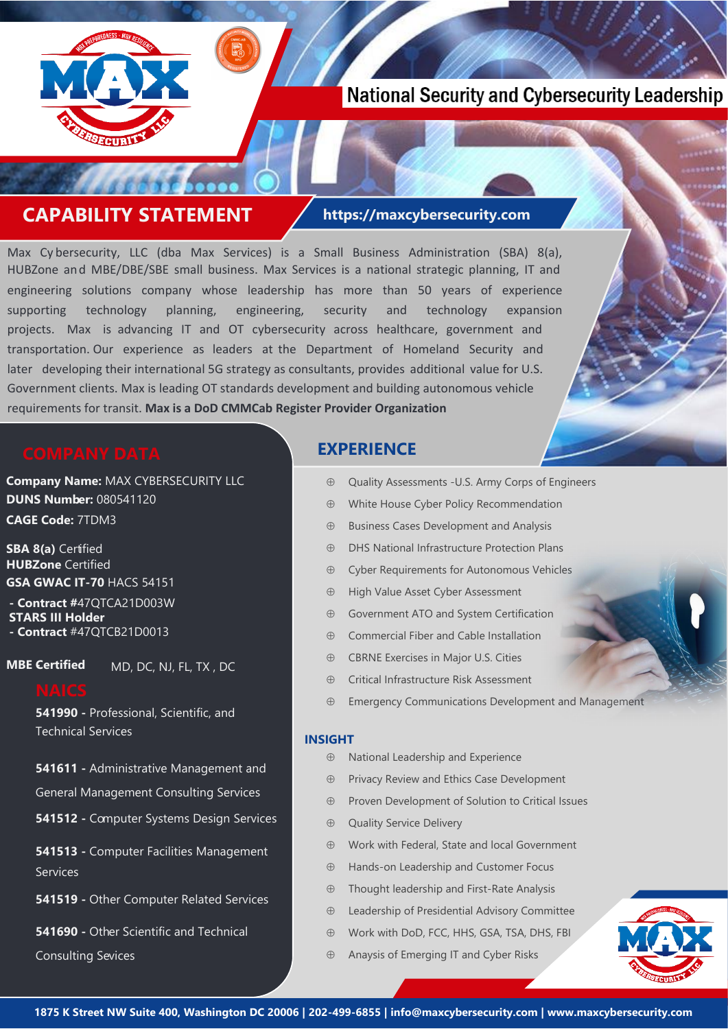

# **National Security and Cybersecurity Leadership**

## **CAPABILITY STATEMENT https://maxcybersecurity.com**

Max Cy bersecurity, LLC (dba Max Services) is a Small Business Administration (SBA) 8(a), HUBZone and MBE/DBE/SBE small business. Max Services is a national strategic planning, IT and engineering solutions company whose leadership has more than 50 years of experience supporting technology planning, engineering, security and technology expansion projects. Max is advancing IT and OT cybersecurity across healthcare, government and transportation. Our experience as leaders at the Department of Homeland Security and later developing their international 5G strategy as consultants, provides additional value for U.S. Government clients. Max is leading OT standards development and building autonomous vehicle requirements for transit. **Max is a DoD CMMCab Register Provider Organization**

**Company Name:** MAX CYBERSECURITY LLC **DUNS Number:** 080541120 **CAGE Code:** 7TDM3

**SBA 8(a)** Certified **HUBZone** Certified **GSA GWAC IT-70** HACS 54151

**- Contract #**47QTCA21D003W **STARS III Holder - Contract** #47QTCB21D0013

**MBE Certified** 

MD, DC, NJ, FL, TX , DC

**541990 -** Professional, Scientific, and Technical Services

**541611 -** Administrative Management and

General Management Consulting Services

**541512 -** Computer Systems Design Services

**541513 -** Computer Facilities Management Services

**541519 -** Other Computer Related Services

**541690 -** Other Scientific and Technical

Consulting Sevices

### **EXPERIENCE**

- Quality Assessments -U.S. Army Corps of Engineers
- White House Cyber Policy Recommendation
- $\oplus$  Business Cases Development and Analysis
- DHS National Infrastructure Protection Plans
- Cyber Requirements for Autonomous Vehicles
- $\oplus$  High Value Asset Cyber Assessment
- Government ATO and System Certification
- Commercial Fiber and Cable Installation
- CBRNE Exercises in Major U.S. Cities
- Critical Infrastructure Risk Assessment
- Emergency Communications Development and Management

### **INSIGHT**

- $\oplus$  National Leadership and Experience
- $\oplus$  Privacy Review and Ethics Case Development
- $\oplus$  Proven Development of Solution to Critical Issues
- $\oplus$  Quality Service Delivery
- Work with Federal, State and local Government
- Hands-on Leadership and Customer Focus
- Thought leadership and First-Rate Analysis
- Leadership of Presidential Advisory Committee
- Work with DoD, FCC, HHS, GSA, TSA, DHS, FBI
- Anaysis of Emerging IT and Cyber Risks

Mass Transit Cyber Requirements